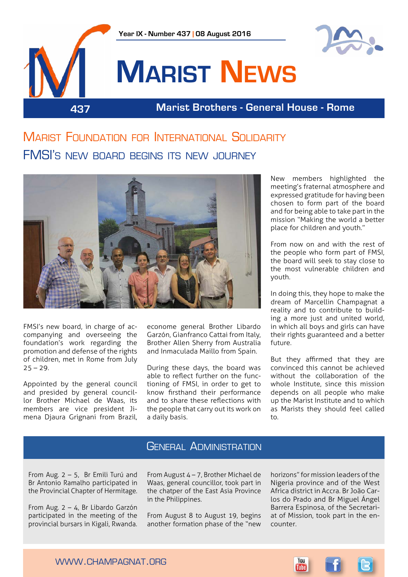



# **Marist News**

**437 Marist Brothers - General House - Rome**

# Marist Foundation for International Solidarity FMSI's new board begins its new journey



FMSI's new board, in charge of accompanying and overseeing the foundation's work regarding the promotion and defense of the rights of children, met in Rome from July  $25 - 29.$ 

Appointed by the general council and presided by general councillor Brother Michael de Waas, its members are vice president Jimena Djaura Grignani from Brazil, econome general Brother Libardo Garzón, Gianfranco Cattai from Italy, Brother Allen Sherry from Australia and Inmaculada Maillo from Spain.

During these days, the board was able to reflect further on the functioning of FMSI, in order to get to know firsthand their performance and to share these reflections with the people that carry out its work on a daily basis.

New members highlighted the meeting's fraternal atmosphere and expressed gratitude for having been chosen to form part of the board and for being able to take part in the mission "Making the world a better place for children and youth."

From now on and with the rest of the people who form part of FMSI, the board will seek to stay close to the most vulnerable children and youth.

In doing this, they hope to make the dream of Marcellin Champagnat a reality and to contribute to building a more just and united world, in which all boys and girls can have their rights guaranteed and a better future.

But they affirmed that they are convinced this cannot be achieved without the collaboration of the whole Institute, since this mission depends on all people who make up the Marist Institute and to which as Marists they should feel called to.

## General Administration

From Aug. 2 – 5, Br Emili Turú and Br Antonio Ramalho participated in the Provincial Chapter of Hermitage.

From Aug. 2 – 4, Br Libardo Garzón participated in the meeting of the provincial bursars in Kigali, Rwanda. From August 4 – 7, Brother Michael de Waas, general councillor, took part in the chatper of the East Asia Province in the Philippines.

From August 8 to August 19, begins another formation phase of the "new horizons" for mission leaders of the Nigeria province and of the West Africa district in Accra. Br João Carlos do Prado and Br Miguel Ángel Barrera Espinosa, of the Secretariat of Mission, took part in the encounter.



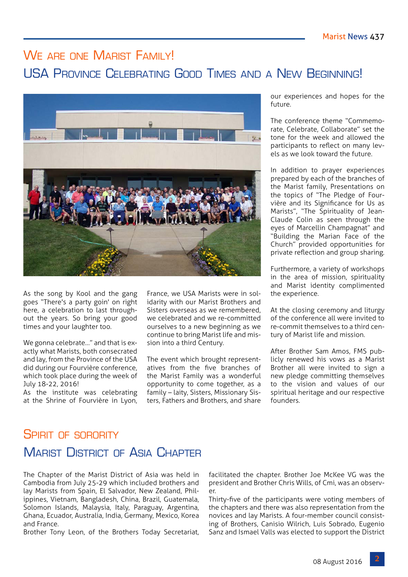# WE ARE ONE MARIST FAMILY!

# USA Province Celebrating Good Times and a New Beginning!



As the song by Kool and the gang goes "There's a party goin' on right here, a celebration to last throughout the years. So bring your good times and your laughter too.

We gonna celebrate…" and that is exactly what Marists, both consecrated and lay, from the Province of the USA did during our Fourvière conference, which took place during the week of July 18-22, 2016!

As the institute was celebrating at the Shrine of Fourvière in Lyon, France, we USA Marists were in solidarity with our Marist Brothers and Sisters overseas as we remembered, we celebrated and we re-committed ourselves to a new beginning as we continue to bring Marist life and mission into a third Century.

The event which brought representatives from the five branches of the Marist Family was a wonderful opportunity to come together, as a family – laity, Sisters, Missionary Sisters, Fathers and Brothers, and share

our experiences and hopes for the future.

The conference theme "Commemorate, Celebrate, Collaborate" set the tone for the week and allowed the participants to reflect on many levels as we look toward the future.

In addition to prayer experiences prepared by each of the branches of the Marist family, Presentations on the topics of "The Pledge of Fourvière and its Significance for Us as Marists", "The Spirituality of Jean-Claude Colin as seen through the eyes of Marcellin Champagnat" and "Building the Marian Face of the Church" provided opportunities for private reflection and group sharing.

Furthermore, a variety of workshops in the area of mission, spirituality and Marist identity complimented the experience.

At the closing ceremony and liturgy of the conference all were invited to re-commit themselves to a third century of Marist life and mission.

After Brother Sam Amos, FMS publicly renewed his vows as a Marist Brother all were invited to sign a new pledge committing themselves to the vision and values of our spiritual heritage and our respective founders.

## SPIRIT OF SORORITY

# Marist District of Asia Chapter

The Chapter of the Marist District of Asia was held in Cambodia from July 25-29 which included brothers and lay Marists from Spain, El Salvador, New Zealand, Philippines, Vietnam, Bangladesh, China, Brazil, Guatemala, Solomon Islands, Malaysia, Italy, Paraguay, Argentina, Ghana, Ecuador, Australia, India, Germany, Mexico, Korea and France.

Brother Tony Leon, of the Brothers Today Secretariat,

facilitated the chapter. Brother Joe McKee VG was the president and Brother Chris Wills, of Cmi, was an observer.

Thirty-five of the participants were voting members of the chapters and there was also representation from the novices and lay Marists. A four-member council consisting of Brothers, Canisio Wilrich, Luis Sobrado, Eugenio Sanz and Ismael Valls was elected to support the District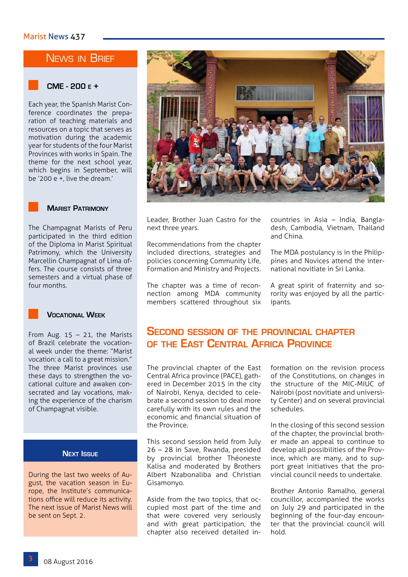## News in Brief

#### **CME - 200 e +**

Each year, the Spanish Marist Conference coordinates the preparation of teaching materials and resources on a topic that serves as motivation during the academic year for students of the four Marist Provinces with works in Spain. The theme for the next school year, which begins in September, will be '200 e +, live the dream.'



#### **Marist Patrimony**

The Champagnat Marists of Peru participated in the third edition of the Diploma in Marist Spiritual Patrimony, which the University Marcellin Champagnat of Lima offers. The course consists of three semesters and a virtual phase of four months.



#### **Vocational Week**

From Aug.  $15 - 21$ , the Marists of Brazil celebrate the vocational week under the theme: "Marist vocation: a call to a great mission." The three Marist provinces use these days to strengthen the vocational culture and awaken consecrated and lay vocations, making the experience of the charism of Champagnat visible.

#### **Next Issue**

During the last two weeks of August, the vacation season in Europe, the Institute's communications office will reduce its activity. The next issue of Marist News will be sent on Sept. 2.



Leader, Brother Juan Castro for the next three years.

Recommendations from the chapter included directions, strategies and policies concerning Community Life, Formation and Ministry and Projects.

The chapter was a time of reconnection among MDA community members scattered throughout six countries in Asia – India, Bangladesh, Cambodia, Vietnam, Thailand and China.

The MDA postulancy is in the Philippines and Novices attend the international novitiate in Sri Lanka.

A great spirit of fraternity and sorority was enjoyed by all the participants.

### **Second session of the provincial chapter of the East Central Africa Province**

The provincial chapter of the East Central Africa province (PACE), gathered in December 2015 in the city of Nairobi, Kenya, decided to celebrate a second session to deal more carefully with its own rules and the economic and financial situation of the Province.

This second session held from July 26 – 28 in Save, Rwanda, presided by provincial brother Théoneste Kalisa and moderated by Brothers Albert Nzabonaliba and Christian Gisamonyo.

Aside from the two topics, that occupied most part of the time and that were covered very seriously and with great participation, the chapter also received detailed information on the revision process of the Constitutions, on changes in the structure of the MIC-MIUC of Nairobi (post novitiate and university Center) and on several provincial schedules.

In the closing of this second session of the chapter, the provincial brother made an appeal to continue to develop all possibilities of the Province, which are many, and to support great initiatives that the provincial council needs to undertake.

Brother Antonio Ramalho, general councillor, accompanied the works on July 29 and participated in the beginning of the four-day encounter that the provincial council will hold.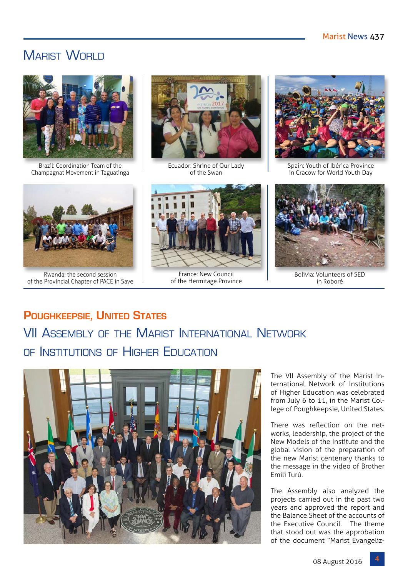# MARIST WORLD



Brazil: Coordination Team of the Champagnat Movement in Taguatinga



Rwanda: the second session of the Provincial Chapter of PACE in Save



Ecuador: Shrine of Our Lady of the Swan



Spain: Youth of Ibérica Province in Cracow for World Youth Day



France: New Council of the Hermitage Province



Bolivia: Volunteers of SED in Roboré

# **Poughkeepsie, United States** VII ASSEMBLY OF THE MARIST INTERNATIONAL NETWORK of Institutions of Higher Education

![](_page_3_Picture_15.jpeg)

The VII Assembly of the Marist International Network of Institutions of Higher Education was celebrated from July 6 to 11, in the Marist College of Poughkeepsie, United States.

There was reflection on the networks, leadership, the project of the New Models of the Institute and the global vision of the preparation of the new Marist centenary thanks to the message in the video of Brother Emili Turú.

The Assembly also analyzed the projects carried out in the past two years and approved the report and the Balance Sheet of the accounts of the Executive Council. The theme that stood out was the approbation of the document "Marist Evangeliz-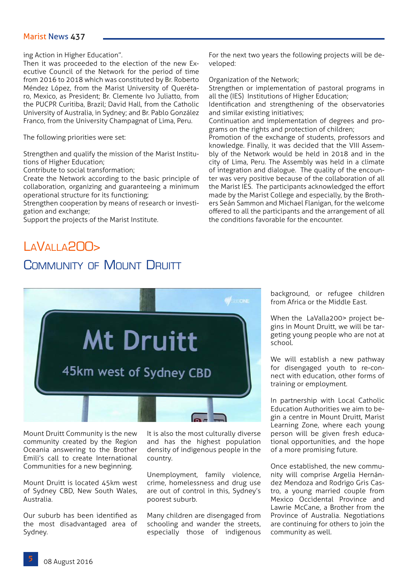#### Marist News 437

ing Action in Higher Education".

Then it was proceeded to the election of the new Executive Council of the Network for the period of time from 2016 to 2018 which was constituted by Br. Roberto Méndez López, from the Marist University of Querétaro, Mexico, as President; Br. Clemente Ivo Juliatto, from the PUCPR Curitiba, Brazil; David Hall, from the Catholic University of Australia, in Sydney; and Br. Pablo González Franco, from the University Champagnat of Lima, Peru.

The following priorities were set:

Strengthen and qualify the mission of the Marist Institutions of Higher Education;

Contribute to social transformation;

Create the Network according to the basic principle of collaboration, organizing and guaranteeing a minimum operational structure for its functioning;

Strengthen cooperation by means of research or investigation and exchange;

Support the projects of the Marist Institute.

For the next two years the following projects will be developed:

Organization of the Network;

Strengthen or implementation of pastoral programs in all the (IES) Institutions of Higher Education;

Identification and strengthening of the observatories and similar existing initiatives;

Continuation and implementation of degrees and programs on the rights and protection of children;

Promotion of the exchange of students, professors and knowledge. Finally, it was decided that the VIII Assembly of the Network would be held in 2018 and in the city of Lima, Peru. The Assembly was held in a climate of integration and dialogue. The quality of the encounter was very positive because of the collaboration of all the Marist IES. The participants acknowledged the effort made by the Marist College and especially, by the Brothers Seán Sammon and Michael Flanigan, for the welcome offered to all the participants and the arrangement of all the conditions favorable for the encounter.

# COMMUNITY OF MOUNT DRUITT

LaValla200>

![](_page_4_Picture_16.jpeg)

Mount Druitt Community is the new community created by the Region Oceania answering to the Brother Emili's call to create International Communities for a new beginning.

Mount Druitt is located 45km west of Sydney CBD, New South Wales, Australia.

Our suburb has been identified as the most disadvantaged area of Sydney.

It is also the most culturally diverse and has the highest population density of indigenous people in the country.

Unemployment, family violence, crime, homelessness and drug use are out of control in this, Sydney's poorest suburb.

Many children are disengaged from schooling and wander the streets, especially those of indigenous

background, or refugee children from Africa or the Middle East.

When the LaValla200> project begins in Mount Druitt, we will be targeting young people who are not at school.

We will establish a new pathway for disengaged youth to re-connect with education, other forms of training or employment.

In partnership with Local Catholic Education Authorities we aim to begin a centre in Mount Druitt, Marist Learning Zone, where each young person will be given fresh educational opportunities, and the hope of a more promising future.

Once established, the new community will comprise Argelia Hernández Mendoza and Rodrigo Gris Castro, a young married couple from Mexico Occidental Province and Lawrie McCane, a Brother from the Province of Australia. Negotiations are continuing for others to join the community as well.